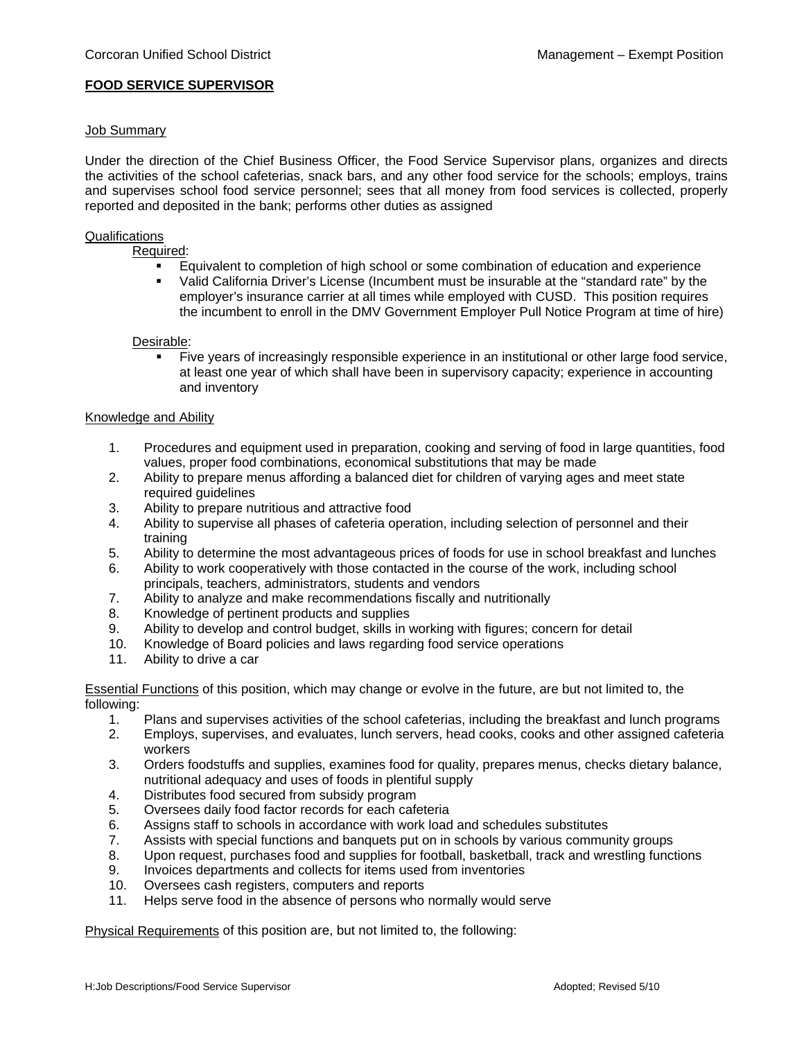# **FOOD SERVICE SUPERVISOR**

### Job Summary

Under the direction of the Chief Business Officer, the Food Service Supervisor plans, organizes and directs the activities of the school cafeterias, snack bars, and any other food service for the schools; employs, trains and supervises school food service personnel; sees that all money from food services is collected, properly reported and deposited in the bank; performs other duties as assigned

# **Qualifications**

Required:

- **Equivalent to completion of high school or some combination of education and experience**
- Valid California Driver's License (Incumbent must be insurable at the "standard rate" by the employer's insurance carrier at all times while employed with CUSD. This position requires the incumbent to enroll in the DMV Government Employer Pull Notice Program at time of hire)

Desirable:

 Five years of increasingly responsible experience in an institutional or other large food service, at least one year of which shall have been in supervisory capacity; experience in accounting and inventory

#### Knowledge and Ability

- 1. Procedures and equipment used in preparation, cooking and serving of food in large quantities, food values, proper food combinations, economical substitutions that may be made
- 2. Ability to prepare menus affording a balanced diet for children of varying ages and meet state required guidelines
- 3. Ability to prepare nutritious and attractive food
- 4. Ability to supervise all phases of cafeteria operation, including selection of personnel and their training
- 5. Ability to determine the most advantageous prices of foods for use in school breakfast and lunches
- 6. Ability to work cooperatively with those contacted in the course of the work, including school principals, teachers, administrators, students and vendors
- 7. Ability to analyze and make recommendations fiscally and nutritionally
- 8. Knowledge of pertinent products and supplies
- 9. Ability to develop and control budget, skills in working with figures; concern for detail
- 10. Knowledge of Board policies and laws regarding food service operations
- 11. Ability to drive a car

Essential Functions of this position, which may change or evolve in the future, are but not limited to, the following:

- 1. Plans and supervises activities of the school cafeterias, including the breakfast and lunch programs
- 2. Employs, supervises, and evaluates, lunch servers, head cooks, cooks and other assigned cafeteria workers
- 3. Orders foodstuffs and supplies, examines food for quality, prepares menus, checks dietary balance, nutritional adequacy and uses of foods in plentiful supply
- 4. Distributes food secured from subsidy program
- 5. Oversees daily food factor records for each cafeteria
- 6. Assigns staff to schools in accordance with work load and schedules substitutes
- 7. Assists with special functions and banquets put on in schools by various community groups
- 8. Upon request, purchases food and supplies for football, basketball, track and wrestling functions
- 9. Invoices departments and collects for items used from inventories
- 10. Oversees cash registers, computers and reports
- 11. Helps serve food in the absence of persons who normally would serve

Physical Requirements of this position are, but not limited to, the following: